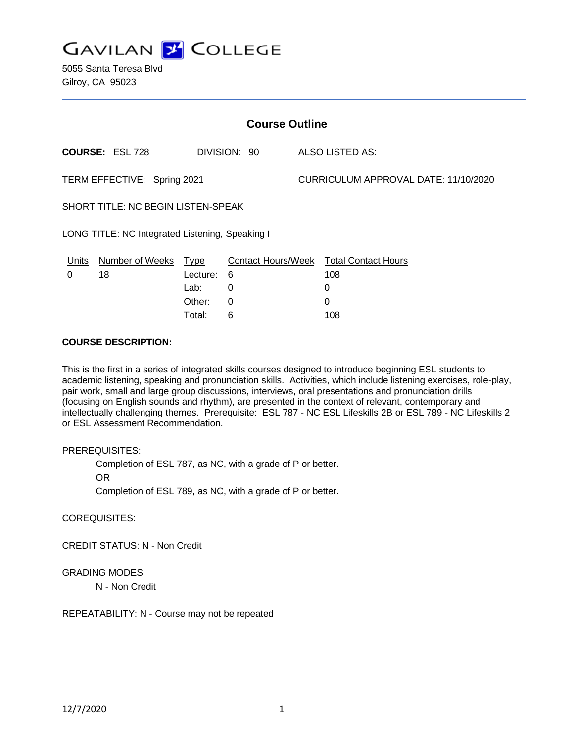

5055 Santa Teresa Blvd Gilroy, CA 95023

| <b>Course Outline</b>                           |                        |             |                           |                                      |                            |
|-------------------------------------------------|------------------------|-------------|---------------------------|--------------------------------------|----------------------------|
|                                                 | <b>COURSE: ESL 728</b> |             | DIVISION: 90              |                                      | ALSO LISTED AS:            |
| TERM EFFECTIVE: Spring 2021                     |                        |             |                           | CURRICULUM APPROVAL DATE: 11/10/2020 |                            |
| <b>SHORT TITLE: NC BEGIN LISTEN-SPEAK</b>       |                        |             |                           |                                      |                            |
| LONG TITLE: NC Integrated Listening, Speaking I |                        |             |                           |                                      |                            |
| Units                                           | <b>Number of Weeks</b> | <u>Type</u> | <b>Contact Hours/Week</b> |                                      | <b>Total Contact Hours</b> |
| 0                                               | 18                     | Lecture:    | 6                         |                                      | 108                        |
|                                                 |                        | Lab:        | 0                         |                                      | 0                          |
|                                                 |                        | Other:      | 0                         |                                      | 0                          |

Total: 6 108

#### **COURSE DESCRIPTION:**

This is the first in a series of integrated skills courses designed to introduce beginning ESL students to academic listening, speaking and pronunciation skills. Activities, which include listening exercises, role-play, pair work, small and large group discussions, interviews, oral presentations and pronunciation drills (focusing on English sounds and rhythm), are presented in the context of relevant, contemporary and intellectually challenging themes. Prerequisite: ESL 787 - NC ESL Lifeskills 2B or ESL 789 - NC Lifeskills 2 or ESL Assessment Recommendation.

### PREREQUISITES:

Completion of ESL 787, as NC, with a grade of P or better.

OR

Completion of ESL 789, as NC, with a grade of P or better.

COREQUISITES:

CREDIT STATUS: N - Non Credit

### GRADING MODES

N - Non Credit

REPEATABILITY: N - Course may not be repeated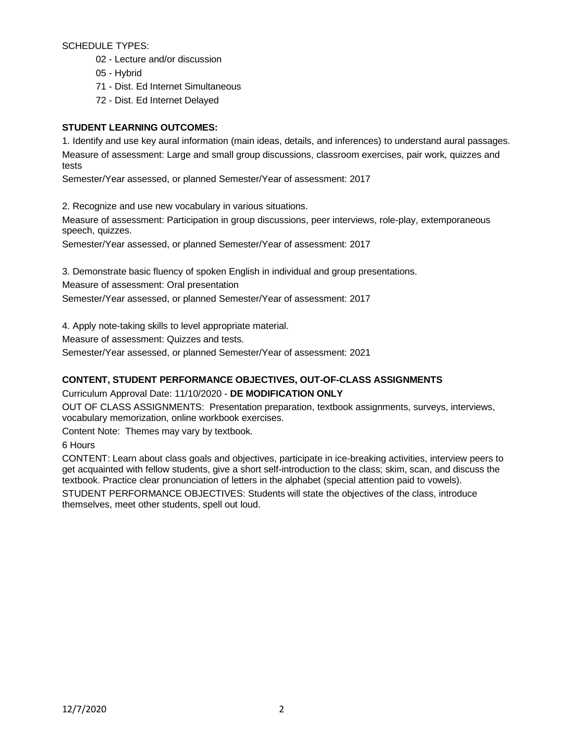SCHEDULE TYPES:

- 02 Lecture and/or discussion
- 05 Hybrid
- 71 Dist. Ed Internet Simultaneous
- 72 Dist. Ed Internet Delayed

# **STUDENT LEARNING OUTCOMES:**

1. Identify and use key aural information (main ideas, details, and inferences) to understand aural passages. Measure of assessment: Large and small group discussions, classroom exercises, pair work, quizzes and tests

Semester/Year assessed, or planned Semester/Year of assessment: 2017

2. Recognize and use new vocabulary in various situations.

Measure of assessment: Participation in group discussions, peer interviews, role-play, extemporaneous speech, quizzes.

Semester/Year assessed, or planned Semester/Year of assessment: 2017

3. Demonstrate basic fluency of spoken English in individual and group presentations.

Measure of assessment: Oral presentation

Semester/Year assessed, or planned Semester/Year of assessment: 2017

4. Apply note-taking skills to level appropriate material.

Measure of assessment: Quizzes and tests.

Semester/Year assessed, or planned Semester/Year of assessment: 2021

# **CONTENT, STUDENT PERFORMANCE OBJECTIVES, OUT-OF-CLASS ASSIGNMENTS**

Curriculum Approval Date: 11/10/2020 - **DE MODIFICATION ONLY**

OUT OF CLASS ASSIGNMENTS: Presentation preparation, textbook assignments, surveys, interviews, vocabulary memorization, online workbook exercises.

Content Note: Themes may vary by textbook.

6 Hours

CONTENT: Learn about class goals and objectives, participate in ice-breaking activities, interview peers to get acquainted with fellow students, give a short self-introduction to the class; skim, scan, and discuss the textbook. Practice clear pronunciation of letters in the alphabet (special attention paid to vowels).

STUDENT PERFORMANCE OBJECTIVES: Students will state the objectives of the class, introduce themselves, meet other students, spell out loud.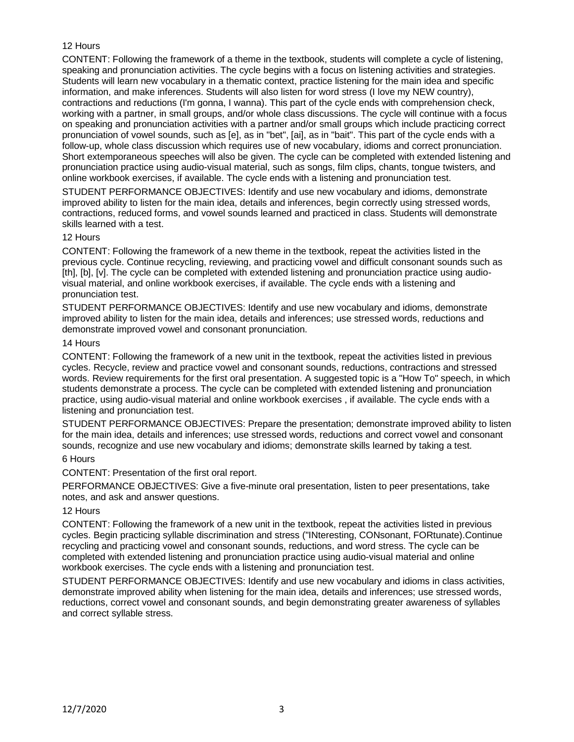# 12 Hours

CONTENT: Following the framework of a theme in the textbook, students will complete a cycle of listening, speaking and pronunciation activities. The cycle begins with a focus on listening activities and strategies. Students will learn new vocabulary in a thematic context, practice listening for the main idea and specific information, and make inferences. Students will also listen for word stress (I love my NEW country), contractions and reductions (I'm gonna, I wanna). This part of the cycle ends with comprehension check, working with a partner, in small groups, and/or whole class discussions. The cycle will continue with a focus on speaking and pronunciation activities with a partner and/or small groups which include practicing correct pronunciation of vowel sounds, such as [e], as in "bet", [ai], as in "bait". This part of the cycle ends with a follow-up, whole class discussion which requires use of new vocabulary, idioms and correct pronunciation. Short extemporaneous speeches will also be given. The cycle can be completed with extended listening and pronunciation practice using audio-visual material, such as songs, film clips, chants, tongue twisters, and online workbook exercises, if available. The cycle ends with a listening and pronunciation test.

STUDENT PERFORMANCE OBJECTIVES: Identify and use new vocabulary and idioms, demonstrate improved ability to listen for the main idea, details and inferences, begin correctly using stressed words, contractions, reduced forms, and vowel sounds learned and practiced in class. Students will demonstrate skills learned with a test.

#### 12 Hours

CONTENT: Following the framework of a new theme in the textbook, repeat the activities listed in the previous cycle. Continue recycling, reviewing, and practicing vowel and difficult consonant sounds such as [th], [b], [v]. The cycle can be completed with extended listening and pronunciation practice using audiovisual material, and online workbook exercises, if available. The cycle ends with a listening and pronunciation test.

STUDENT PERFORMANCE OBJECTIVES: Identify and use new vocabulary and idioms, demonstrate improved ability to listen for the main idea, details and inferences; use stressed words, reductions and demonstrate improved vowel and consonant pronunciation.

#### 14 Hours

CONTENT: Following the framework of a new unit in the textbook, repeat the activities listed in previous cycles. Recycle, review and practice vowel and consonant sounds, reductions, contractions and stressed words. Review requirements for the first oral presentation. A suggested topic is a "How To" speech, in which students demonstrate a process. The cycle can be completed with extended listening and pronunciation practice, using audio-visual material and online workbook exercises , if available. The cycle ends with a listening and pronunciation test.

STUDENT PERFORMANCE OBJECTIVES: Prepare the presentation; demonstrate improved ability to listen for the main idea, details and inferences; use stressed words, reductions and correct vowel and consonant sounds, recognize and use new vocabulary and idioms; demonstrate skills learned by taking a test.

# 6 Hours

CONTENT: Presentation of the first oral report.

PERFORMANCE OBJECTIVES: Give a five-minute oral presentation, listen to peer presentations, take notes, and ask and answer questions.

### 12 Hours

CONTENT: Following the framework of a new unit in the textbook, repeat the activities listed in previous cycles. Begin practicing syllable discrimination and stress ("INteresting, CONsonant, FORtunate).Continue recycling and practicing vowel and consonant sounds, reductions, and word stress. The cycle can be completed with extended listening and pronunciation practice using audio-visual material and online workbook exercises. The cycle ends with a listening and pronunciation test.

STUDENT PERFORMANCE OBJECTIVES: Identify and use new vocabulary and idioms in class activities, demonstrate improved ability when listening for the main idea, details and inferences; use stressed words, reductions, correct vowel and consonant sounds, and begin demonstrating greater awareness of syllables and correct syllable stress.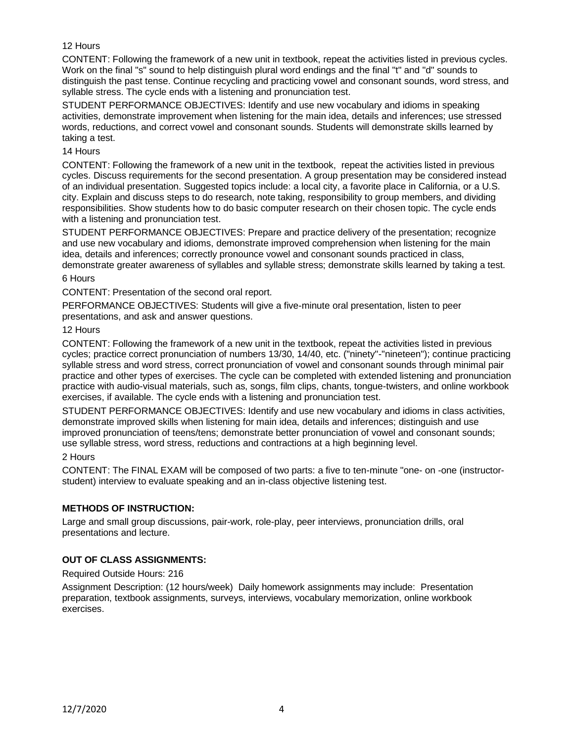# 12 Hours

CONTENT: Following the framework of a new unit in textbook, repeat the activities listed in previous cycles. Work on the final "s" sound to help distinguish plural word endings and the final "t" and "d" sounds to distinguish the past tense. Continue recycling and practicing vowel and consonant sounds, word stress, and syllable stress. The cycle ends with a listening and pronunciation test.

STUDENT PERFORMANCE OBJECTIVES: Identify and use new vocabulary and idioms in speaking activities, demonstrate improvement when listening for the main idea, details and inferences; use stressed words, reductions, and correct vowel and consonant sounds. Students will demonstrate skills learned by taking a test.

# 14 Hours

CONTENT: Following the framework of a new unit in the textbook, repeat the activities listed in previous cycles. Discuss requirements for the second presentation. A group presentation may be considered instead of an individual presentation. Suggested topics include: a local city, a favorite place in California, or a U.S. city. Explain and discuss steps to do research, note taking, responsibility to group members, and dividing responsibilities. Show students how to do basic computer research on their chosen topic. The cycle ends with a listening and pronunciation test.

STUDENT PERFORMANCE OBJECTIVES: Prepare and practice delivery of the presentation; recognize and use new vocabulary and idioms, demonstrate improved comprehension when listening for the main idea, details and inferences; correctly pronounce vowel and consonant sounds practiced in class, demonstrate greater awareness of syllables and syllable stress; demonstrate skills learned by taking a test.

# 6 Hours

CONTENT: Presentation of the second oral report.

PERFORMANCE OBJECTIVES: Students will give a five-minute oral presentation, listen to peer presentations, and ask and answer questions.

#### 12 Hours

CONTENT: Following the framework of a new unit in the textbook, repeat the activities listed in previous cycles; practice correct pronunciation of numbers 13/30, 14/40, etc. ("ninety"-"nineteen"); continue practicing syllable stress and word stress, correct pronunciation of vowel and consonant sounds through minimal pair practice and other types of exercises. The cycle can be completed with extended listening and pronunciation practice with audio-visual materials, such as, songs, film clips, chants, tongue-twisters, and online workbook exercises, if available. The cycle ends with a listening and pronunciation test.

STUDENT PERFORMANCE OBJECTIVES: Identify and use new vocabulary and idioms in class activities, demonstrate improved skills when listening for main idea, details and inferences; distinguish and use improved pronunciation of teens/tens; demonstrate better pronunciation of vowel and consonant sounds; use syllable stress, word stress, reductions and contractions at a high beginning level.

### 2 Hours

CONTENT: The FINAL EXAM will be composed of two parts: a five to ten-minute "one- on -one (instructorstudent) interview to evaluate speaking and an in-class objective listening test.

### **METHODS OF INSTRUCTION:**

Large and small group discussions, pair-work, role-play, peer interviews, pronunciation drills, oral presentations and lecture.

### **OUT OF CLASS ASSIGNMENTS:**

Required Outside Hours: 216

Assignment Description: (12 hours/week) Daily homework assignments may include: Presentation preparation, textbook assignments, surveys, interviews, vocabulary memorization, online workbook exercises.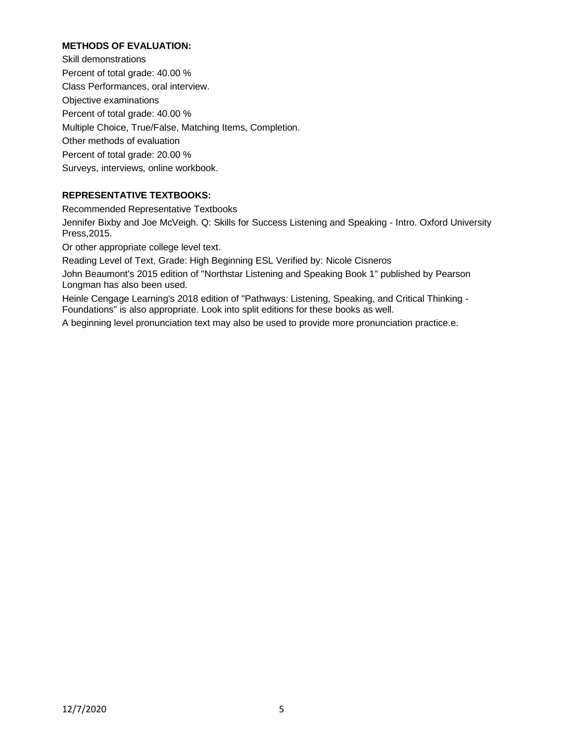# **METHODS OF EVALUATION:**

Skill demonstrations Percent of total grade: 40.00 % Class Performances, oral interview. Objective examinations Percent of total grade: 40.00 % Multiple Choice, True/False, Matching Items, Completion. Other methods of evaluation Percent of total grade: 20.00 % Surveys, interviews, online workbook.

# **REPRESENTATIVE TEXTBOOKS:**

Recommended Representative Textbooks

Jennifer Bixby and Joe McVeigh. Q: Skills for Success Listening and Speaking - Intro. Oxford University Press,2015.

Or other appropriate college level text.

Reading Level of Text, Grade: High Beginning ESL Verified by: Nicole Cisneros

John Beaumont's 2015 edition of "Northstar Listening and Speaking Book 1" published by Pearson Longman has also been used.

Heinle Cengage Learning's 2018 edition of "Pathways: Listening, Speaking, and Critical Thinking - Foundations" is also appropriate. Look into split editions for these books as well.

A beginning level pronunciation text may also be used to provide more pronunciation practice.e.